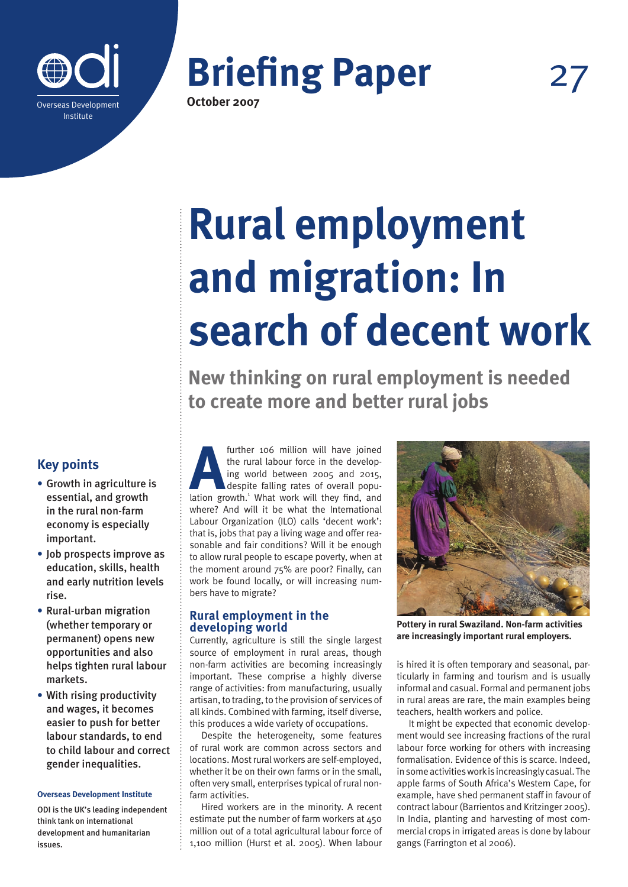



# **Rural employment and migration: In search of decent work**

**New thinking on rural employment is needed to create more and better rural jobs**

## **Key points**

- **•** Growth in agriculture is essential, and growth in the rural non-farm economy is especially important.
- **•** Job prospects improve as education, skills, health and early nutrition levels rise.
- **•** Rural-urban migration (whether temporary or permanent) opens new opportunities and also helps tighten rural labour markets.
- **•** With rising productivity and wages, it becomes easier to push for better labour standards, to end to child labour and correct gender inequalities.

#### **Overseas Development Institute**

ODI is the UK's leading independent think tank on international development and humanitarian issues.

further 106 million will have joined<br>the rural labour force in the develop-<br>ing world between 2005 and 2015,<br>despite falling rates of overall popu-<br>lation growth.<sup>1</sup> What work will they find, and the rural labour force in the developing world between 2005 and 2015, despite falling rates of overall popuwhere? And will it be what the International Labour Organization (ILO) calls 'decent work': that is, jobs that pay a living wage and offer reasonable and fair conditions? Will it be enough to allow rural people to escape poverty, when at the moment around 75% are poor? Finally, can work be found locally, or will increasing numbers have to migrate?

## **Rural employment in the developing world**

Currently, agriculture is still the single largest source of employment in rural areas, though non-farm activities are becoming increasingly important. These comprise a highly diverse range of activities: from manufacturing, usually artisan, to trading, to the provision of services of all kinds. Combined with farming, itself diverse, this produces a wide variety of occupations.

Despite the heterogeneity, some features of rural work are common across sectors and locations. Most rural workers are self-employed, whether it be on their own farms or in the small, often very small, enterprises typical of rural nonfarm activities.

Hired workers are in the minority. A recent estimate put the number of farm workers at  $450$ million out of a total agricultural labour force of 1,100 million (Hurst et al. 2005). When labour



**Pottery in rural Swaziland. Non-farm activities are increasingly important rural employers.**

is hired it is often temporary and seasonal, particularly in farming and tourism and is usually informal and casual. Formal and permanent jobs in rural areas are rare, the main examples being teachers, health workers and police.

It might be expected that economic development would see increasing fractions of the rural labour force working for others with increasing formalisation. Evidence of this is scarce. Indeed, in some activities work is increasingly casual. The apple farms of South Africa's Western Cape, for example, have shed permanent staff in favour of contract labour (Barrientos and Kritzinger 2005). In India, planting and harvesting of most commercial crops in irrigated areas is done by labour gangs (Farrington et al 2006).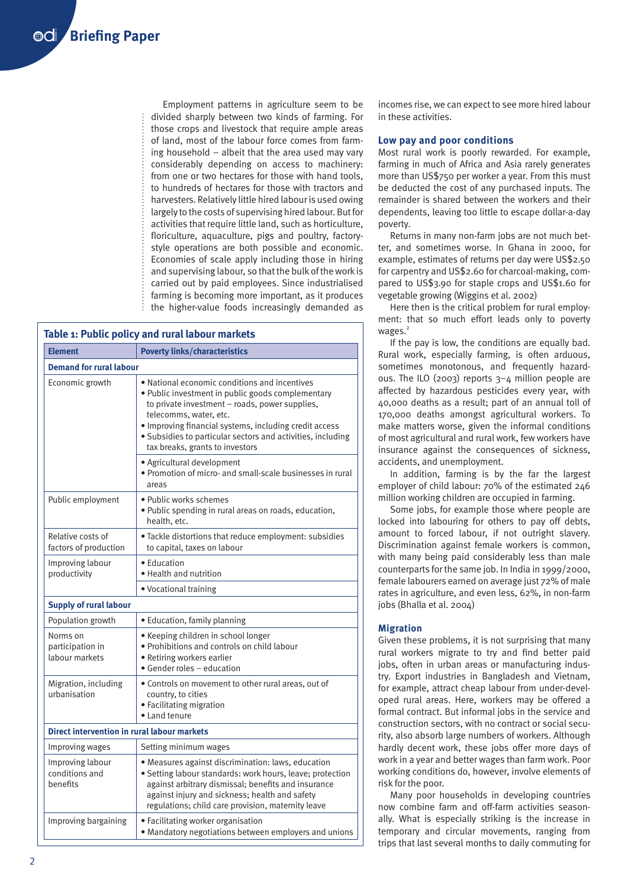Employment patterns in agriculture seem to be divided sharply between two kinds of farming. For those crops and livestock that require ample areas of land, most of the labour force comes from farming household – albeit that the area used may vary considerably depending on access to machinery: from one or two hectares for those with hand tools, to hundreds of hectares for those with tractors and harvesters. Relatively little hired labour is used owing largely to the costs of supervising hired labour. But for activities that require little land, such as horticulture, floriculture, aquaculture, pigs and poultry, factorystyle operations are both possible and economic. Economies of scale apply including those in hiring and supervising labour, so that the bulk of the work is carried out by paid employees. Since industrialised farming is becoming more important, as it produces the higher-value foods increasingly demanded as

| Table 1: Public policy and rural labour markets    |                                                                                                                                                                                                                                                                                                                                            |
|----------------------------------------------------|--------------------------------------------------------------------------------------------------------------------------------------------------------------------------------------------------------------------------------------------------------------------------------------------------------------------------------------------|
| <b>Element</b>                                     | <b>Poverty links/characteristics</b>                                                                                                                                                                                                                                                                                                       |
| <b>Demand for rural labour</b>                     |                                                                                                                                                                                                                                                                                                                                            |
| Economic growth                                    | • National economic conditions and incentives<br>. Public investment in public goods complementary<br>to private investment - roads, power supplies,<br>telecomms, water, etc.<br>· Improving financial systems, including credit access<br>· Subsidies to particular sectors and activities, including<br>tax breaks, grants to investors |
|                                                    | · Agricultural development<br>• Promotion of micro- and small-scale businesses in rural<br>areas                                                                                                                                                                                                                                           |
| Public employment                                  | • Public works schemes<br>· Public spending in rural areas on roads, education,<br>health, etc.                                                                                                                                                                                                                                            |
| Relative costs of<br>factors of production         | · Tackle distortions that reduce employment: subsidies<br>to capital, taxes on labour                                                                                                                                                                                                                                                      |
| Improving labour<br>productivity                   | • Education<br>• Health and nutrition                                                                                                                                                                                                                                                                                                      |
|                                                    | • Vocational training                                                                                                                                                                                                                                                                                                                      |
| <b>Supply of rural labour</b>                      |                                                                                                                                                                                                                                                                                                                                            |
| Population growth                                  | · Education, family planning                                                                                                                                                                                                                                                                                                               |
| Norms on<br>participation in<br>labour markets     | · Keeping children in school longer<br>• Prohibitions and controls on child labour<br>· Retiring workers earlier<br>• Gender roles - education                                                                                                                                                                                             |
| Migration, including<br>urbanisation               | • Controls on movement to other rural areas, out of<br>country, to cities<br>• Facilitating migration<br>• Land tenure                                                                                                                                                                                                                     |
| <b>Direct intervention in rural labour markets</b> |                                                                                                                                                                                                                                                                                                                                            |
| Improving wages                                    | Setting minimum wages                                                                                                                                                                                                                                                                                                                      |
| Improving labour<br>conditions and<br>benefits     | • Measures against discrimination: laws, education<br>· Setting labour standards: work hours, leave; protection<br>against arbitrary dismissal; benefits and insurance<br>against injury and sickness; health and safety<br>regulations; child care provision, maternity leave                                                             |
| Improving bargaining                               | • Facilitating worker organisation<br>· Mandatory negotiations between employers and unions                                                                                                                                                                                                                                                |

incomes rise, we can expect to see more hired labour in these activities.

#### **Low pay and poor conditions**

Most rural work is poorly rewarded. For example, farming in much of Africa and Asia rarely generates more than US\$750 per worker a year. From this must be deducted the cost of any purchased inputs. The remainder is shared between the workers and their dependents, leaving too little to escape dollar-a-day poverty.

Returns in many non-farm jobs are not much better, and sometimes worse. In Ghana in 2000, for example, estimates of returns per day were US\$2.50 for carpentry and US\$2.60 for charcoal-making, compared to US\$3.90 for staple crops and US\$1.60 for vegetable growing (Wiggins et al. 2002)

Here then is the critical problem for rural employment: that so much effort leads only to poverty wages. $<sup>2</sup>$ </sup>

If the pay is low, the conditions are equally bad. Rural work, especially farming, is often arduous, sometimes monotonous, and frequently hazardous. The ILO (2003) reports 3–4 million people are affected by hazardous pesticides every year, with 40,000 deaths as a result; part of an annual toll of 170,000 deaths amongst agricultural workers. To make matters worse, given the informal conditions of most agricultural and rural work, few workers have insurance against the consequences of sickness, accidents, and unemployment.

In addition, farming is by the far the largest employer of child labour: 70% of the estimated 246 million working children are occupied in farming.

Some jobs, for example those where people are locked into labouring for others to pay off debts, amount to forced labour, if not outright slavery. Discrimination against female workers is common, with many being paid considerably less than male counterparts for the same job. In India in 1999/2000, female labourers earned on average just 72% of male rates in agriculture, and even less, 62%, in non-farm jobs (Bhalla et al. 2004)

### **Migration**

Given these problems, it is not surprising that many rural workers migrate to try and find better paid jobs, often in urban areas or manufacturing industry. Export industries in Bangladesh and Vietnam, for example, attract cheap labour from under-developed rural areas. Here, workers may be offered a formal contract. But informal jobs in the service and construction sectors, with no contract or social security, also absorb large numbers of workers. Although hardly decent work, these jobs offer more days of work in a year and better wages than farm work. Poor working conditions do, however, involve elements of risk for the poor.

Many poor households in developing countries now combine farm and off-farm activities seasonally. What is especially striking is the increase in temporary and circular movements, ranging from trips that last several months to daily commuting for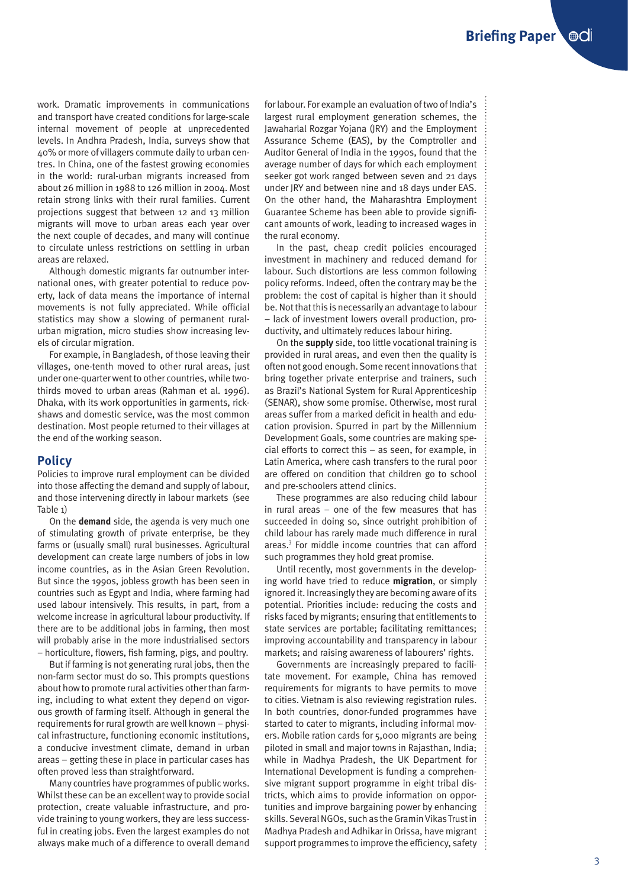work. Dramatic improvements in communications and transport have created conditions for large-scale internal movement of people at unprecedented levels. In Andhra Pradesh, India, surveys show that 40% or more of villagers commute daily to urban centres. In China, one of the fastest growing economies in the world: rural-urban migrants increased from about 26 million in 1988 to 126 million in 2004. Most retain strong links with their rural families. Current projections suggest that between 12 and 13 million migrants will move to urban areas each year over the next couple of decades, and many will continue to circulate unless restrictions on settling in urban areas are relaxed.

Although domestic migrants far outnumber international ones, with greater potential to reduce poverty, lack of data means the importance of internal movements is not fully appreciated. While official statistics may show a slowing of permanent ruralurban migration, micro studies show increasing levels of circular migration.

For example, in Bangladesh, of those leaving their villages, one-tenth moved to other rural areas, just under one-quarter went to other countries, while twothirds moved to urban areas (Rahman et al. 1996). Dhaka, with its work opportunities in garments, rickshaws and domestic service, was the most common destination. Most people returned to their villages at the end of the working season.

### **Policy**

Policies to improve rural employment can be divided into those affecting the demand and supply of labour, and those intervening directly in labour markets (see Table 1)

On the **demand** side, the agenda is very much one of stimulating growth of private enterprise, be they farms or (usually small) rural businesses. Agricultural development can create large numbers of jobs in low income countries, as in the Asian Green Revolution. But since the 1990s, jobless growth has been seen in countries such as Egypt and India, where farming had used labour intensively. This results, in part, from a welcome increase in agricultural labour productivity. If there are to be additional jobs in farming, then most will probably arise in the more industrialised sectors – horticulture, flowers, fish farming, pigs, and poultry.

But if farming is not generating rural jobs, then the non-farm sector must do so. This prompts questions about how to promote rural activities other than farming, including to what extent they depend on vigorous growth of farming itself. Although in general the requirements for rural growth are well known – physical infrastructure, functioning economic institutions, a conducive investment climate, demand in urban areas – getting these in place in particular cases has often proved less than straightforward.

Many countries have programmes of public works. Whilst these can be an excellent way to provide social protection, create valuable infrastructure, and provide training to young workers, they are less successful in creating jobs. Even the largest examples do not always make much of a difference to overall demand for labour. For example an evaluation of two of India's largest rural employment generation schemes, the Jawaharlal Rozgar Yojana (JRY) and the Employment Assurance Scheme (EAS), by the Comptroller and Auditor General of India in the 1990s, found that the average number of days for which each employment seeker got work ranged between seven and 21 days under JRY and between nine and 18 days under EAS. On the other hand, the Maharashtra Employment Guarantee Scheme has been able to provide significant amounts of work, leading to increased wages in the rural economy.

In the past, cheap credit policies encouraged investment in machinery and reduced demand for labour. Such distortions are less common following policy reforms. Indeed, often the contrary may be the problem: the cost of capital is higher than it should be. Not that this is necessarily an advantage to labour – lack of investment lowers overall production, productivity, and ultimately reduces labour hiring.

On the **supply** side, too little vocational training is provided in rural areas, and even then the quality is often not good enough. Some recent innovations that bring together private enterprise and trainers, such as Brazil's National System for Rural Apprenticeship (SENAR), show some promise. Otherwise, most rural areas suffer from a marked deficit in health and education provision. Spurred in part by the Millennium Development Goals, some countries are making special efforts to correct this – as seen, for example, in Latin America, where cash transfers to the rural poor are offered on condition that children go to school and pre-schoolers attend clinics.

These programmes are also reducing child labour in rural areas – one of the few measures that has succeeded in doing so, since outright prohibition of child labour has rarely made much difference in rural areas.<sup>3</sup> For middle income countries that can afford such programmes they hold great promise.

Until recently, most governments in the developing world have tried to reduce **migration**, or simply ignored it. Increasingly they are becoming aware of its potential. Priorities include: reducing the costs and risks faced by migrants; ensuring that entitlements to state services are portable; facilitating remittances; improving accountability and transparency in labour markets; and raising awareness of labourers' rights.

Governments are increasingly prepared to facilitate movement. For example, China has removed requirements for migrants to have permits to move to cities. Vietnam is also reviewing registration rules. In both countries, donor-funded programmes have started to cater to migrants, including informal movers. Mobile ration cards for 5,000 migrants are being piloted in small and major towns in Rajasthan, India; while in Madhya Pradesh, the UK Department for International Development is funding a comprehensive migrant support programme in eight tribal districts, which aims to provide information on opportunities and improve bargaining power by enhancing skills. Several NGOs, such as the Gramin Vikas Trust in Madhya Pradesh and Adhikar in Orissa, have migrant support programmes to improve the efficiency, safety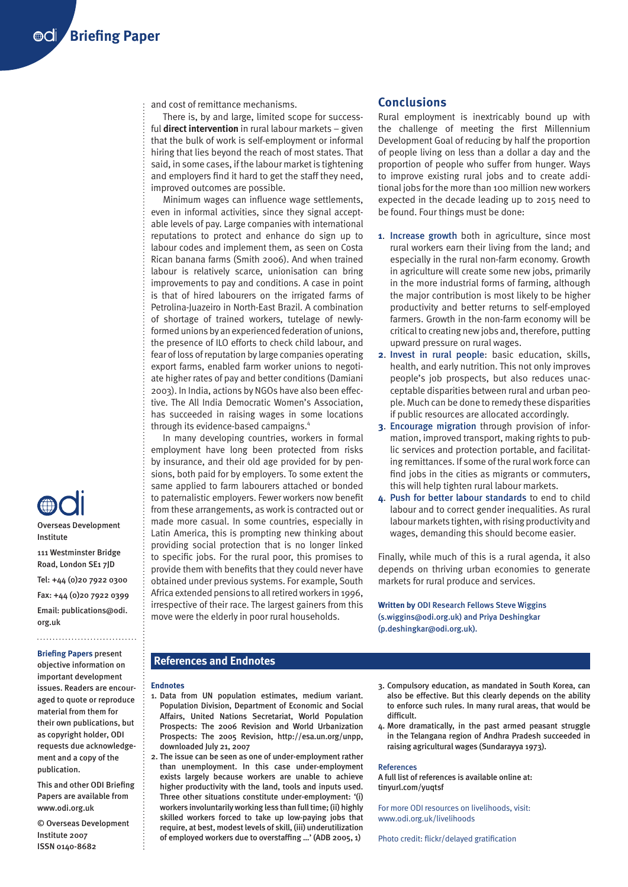and cost of remittance mechanisms.

There is, by and large, limited scope for successful **direct intervention** in rural labour markets – given that the bulk of work is self-employment or informal hiring that lies beyond the reach of most states. That said, in some cases, if the labour market is tightening and employers find it hard to get the staff they need, improved outcomes are possible.

Minimum wages can influence wage settlements, even in informal activities, since they signal acceptable levels of pay. Large companies with international reputations to protect and enhance do sign up to labour codes and implement them, as seen on Costa Rican banana farms (Smith 2006). And when trained labour is relatively scarce, unionisation can bring improvements to pay and conditions. A case in point is that of hired labourers on the irrigated farms of Petrolina-Juazeiro in North-East Brazil. A combination of shortage of trained workers, tutelage of newlyformed unions by an experienced federation of unions, the presence of ILO efforts to check child labour, and fear of loss of reputation by large companies operating export farms, enabled farm worker unions to negotiate higher rates of pay and better conditions (Damiani 2003). In India, actions by NGOs have also been effective. The All India Democratic Women's Association, has succeeded in raising wages in some locations through its evidence-based campaigns.<sup>4</sup>

In many developing countries, workers in formal employment have long been protected from risks by insurance, and their old age provided for by pensions, both paid for by employers. To some extent the same applied to farm labourers attached or bonded to paternalistic employers. Fewer workers now benefit from these arrangements, as work is contracted out or made more casual. In some countries, especially in Latin America, this is prompting new thinking about providing social protection that is no longer linked to specific jobs. For the rural poor, this promises to provide them with benefits that they could never have obtained under previous systems. For example, South Africa extended pensions to all retired workers in 1996, irrespective of their race. The largest gainers from this move were the elderly in poor rural households.

#### **Conclusions**

Rural employment is inextricably bound up with the challenge of meeting the first Millennium Development Goal of reducing by half the proportion of people living on less than a dollar a day and the proportion of people who suffer from hunger. Ways to improve existing rural jobs and to create additional jobs for the more than 100 million new workers expected in the decade leading up to 2015 need to be found. Four things must be done:

- **1**. Increase growth both in agriculture, since most rural workers earn their living from the land; and especially in the rural non-farm economy. Growth in agriculture will create some new jobs, primarily in the more industrial forms of farming, although the major contribution is most likely to be higher productivity and better returns to self-employed farmers. Growth in the non-farm economy will be critical to creating new jobs and, therefore, putting upward pressure on rural wages.
- **2**. Invest in rural people: basic education, skills, health, and early nutrition. This not only improves people's job prospects, but also reduces unacceptable disparities between rural and urban people. Much can be done to remedy these disparities if public resources are allocated accordingly.
- **3**. Encourage migration through provision of information, improved transport, making rights to public services and protection portable, and facilitating remittances. If some of the rural work force can find jobs in the cities as migrants or commuters, this will help tighten rural labour markets.
- **4**. Push for better labour standards to end to child labour and to correct gender inequalities. As rural labour markets tighten, with rising productivity and wages, demanding this should become easier.

Finally, while much of this is a rural agenda, it also depends on thriving urban economies to generate markets for rural produce and services.

**Written by** ODI Research Fellows Steve Wiggins (s.wiggins@odi.org.uk) and Priya Deshingkar (p.deshingkar@odi.org.uk).

### **References and Endnotes**

#### **Endnotes**

- 1. Data from UN population estimates, medium variant. Population Division, Department of Economic and Social Affairs, United Nations Secretariat, World Population Prospects: The 2006 Revision and World Urbanization Prospects: The 2005 Revision, http://esa.un.org/unpp, downloaded July 21, 2007
- 2. The issue can be seen as one of under-employment rather than unemployment. In this case under-employment exists largely because workers are unable to achieve higher productivity with the land, tools and inputs used. Three other situations constitute under-employment: '(i) workers involuntarily working less than full time; (ii) highly skilled workers forced to take up low-paying jobs that require, at best, modest levels of skill, (iii) underutilization of employed workers due to overstaffing …' (ADB 2005, 1)
- 3. Compulsory education, as mandated in South Korea, can also be effective. But this clearly depends on the ability to enforce such rules. In many rural areas, that would be difficult.
- 4. More dramatically, in the past armed peasant struggle in the Telangana region of Andhra Pradesh succeeded in raising agricultural wages (Sundarayya 1973).

#### References

A full list of references is available online at: tinyurl.com/yuqtsf

For more ODI resources on livelihoods, visit: www.odi.org.uk/livelihoods

Photo credit: flickr/delayed gratification



111 Westminster Bridge Road, London SE1 7JD

Institute

Tel: +44 (0)20 7922 0300 Fax: +44 (0)20 7922 0399 Email: publications@odi. org.uk **Briefing Papers** present objective information on important development issues. Readers are encouraged to quote or reproduce material from them for their own publications, but as copyright holder, ODI requests due acknowledge-

publication. This and other ODI Briefing Papers are available from www.odi.org.uk

ment and a copy of the

© Overseas Development Institute 2007 ISSN 0140-8682